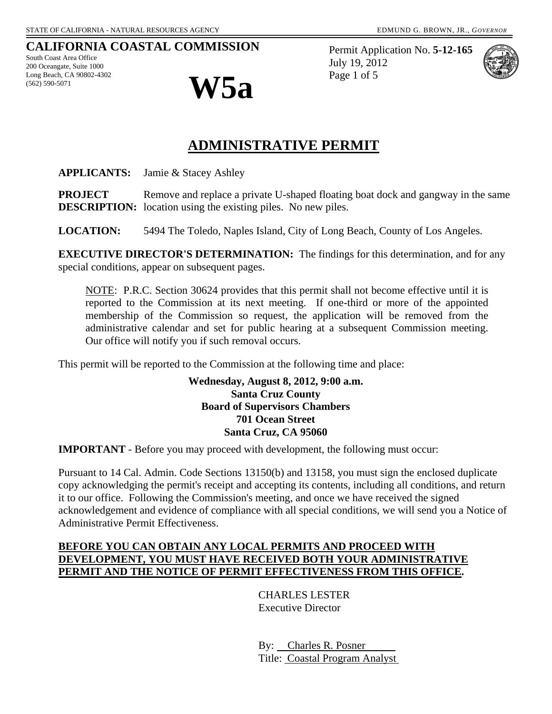# **CALIFORNIA COASTAL COMMISSION**

South Coast Area Office 200 Oceangate, Suite 1000 Long Beach, CA 90802-4302



Permit Application No. **5-12-165** July 19, 2012 Page 1 of 5



# **ADMINISTRATIVE PERMIT**

**APPLICANTS:** Jamie & Stacey Ashley

**PROJECT** Remove and replace a private U-shaped floating boat dock and gangway in the same **DESCRIPTION:** location using the existing piles. No new piles.

**LOCATION:** 5494 The Toledo, Naples Island, City of Long Beach, County of Los Angeles.

**EXECUTIVE DIRECTOR'S DETERMINATION:** The findings for this determination, and for any special conditions, appear on subsequent pages.

NOTE: P.R.C. Section 30624 provides that this permit shall not become effective until it is reported to the Commission at its next meeting. If one-third or more of the appointed membership of the Commission so request, the application will be removed from the administrative calendar and set for public hearing at a subsequent Commission meeting. Our office will notify you if such removal occurs.

This permit will be reported to the Commission at the following time and place:

**Wednesday, August 8, 2012, 9:00 a.m. Santa Cruz County Board of Supervisors Chambers 701 Ocean Street Santa Cruz, CA 95060** 

**IMPORTANT** - Before you may proceed with development, the following must occur:

Pursuant to 14 Cal. Admin. Code Sections 13150(b) and 13158, you must sign the enclosed duplicate copy acknowledging the permit's receipt and accepting its contents, including all conditions, and return it to our office. Following the Commission's meeting, and once we have received the signed acknowledgement and evidence of compliance with all special conditions, we will send you a Notice of Administrative Permit Effectiveness.

#### **BEFORE YOU CAN OBTAIN ANY LOCAL PERMITS AND PROCEED WITH DEVELOPMENT, YOU MUST HAVE RECEIVED BOTH YOUR ADMINISTRATIVE PERMIT AND THE NOTICE OF PERMIT EFFECTIVENESS FROM THIS OFFICE.**

 CHARLES LESTER Executive Director

 By: Charles R. Posner Title: Coastal Program Analyst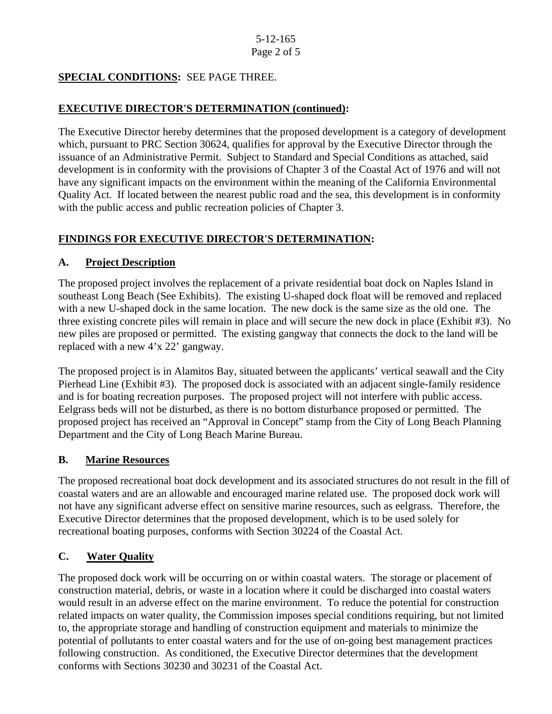# **SPECIAL CONDITIONS:** SEE PAGE THREE.

# **EXECUTIVE DIRECTOR'S DETERMINATION (continued):**

The Executive Director hereby determines that the proposed development is a category of development which, pursuant to PRC Section 30624, qualifies for approval by the Executive Director through the issuance of an Administrative Permit. Subject to Standard and Special Conditions as attached, said development is in conformity with the provisions of Chapter 3 of the Coastal Act of 1976 and will not have any significant impacts on the environment within the meaning of the California Environmental Quality Act. If located between the nearest public road and the sea, this development is in conformity with the public access and public recreation policies of Chapter 3.

# **FINDINGS FOR EXECUTIVE DIRECTOR'S DETERMINATION:**

#### **A. Project Description**

The proposed project involves the replacement of a private residential boat dock on Naples Island in southeast Long Beach (See Exhibits). The existing U-shaped dock float will be removed and replaced with a new U-shaped dock in the same location. The new dock is the same size as the old one. The three existing concrete piles will remain in place and will secure the new dock in place (Exhibit #3). No new piles are proposed or permitted. The existing gangway that connects the dock to the land will be replaced with a new 4'x 22' gangway.

The proposed project is in Alamitos Bay, situated between the applicants' vertical seawall and the City Pierhead Line (Exhibit #3). The proposed dock is associated with an adjacent single-family residence and is for boating recreation purposes. The proposed project will not interfere with public access. Eelgrass beds will not be disturbed, as there is no bottom disturbance proposed or permitted. The proposed project has received an "Approval in Concept" stamp from the City of Long Beach Planning Department and the City of Long Beach Marine Bureau.

#### **B. Marine Resources**

The proposed recreational boat dock development and its associated structures do not result in the fill of coastal waters and are an allowable and encouraged marine related use. The proposed dock work will not have any significant adverse effect on sensitive marine resources, such as eelgrass. Therefore, the Executive Director determines that the proposed development, which is to be used solely for recreational boating purposes, conforms with Section 30224 of the Coastal Act.

# **C. Water Quality**

The proposed dock work will be occurring on or within coastal waters. The storage or placement of construction material, debris, or waste in a location where it could be discharged into coastal waters would result in an adverse effect on the marine environment. To reduce the potential for construction related impacts on water quality, the Commission imposes special conditions requiring, but not limited to, the appropriate storage and handling of construction equipment and materials to minimize the potential of pollutants to enter coastal waters and for the use of on-going best management practices following construction. As conditioned, the Executive Director determines that the development conforms with Sections 30230 and 30231 of the Coastal Act.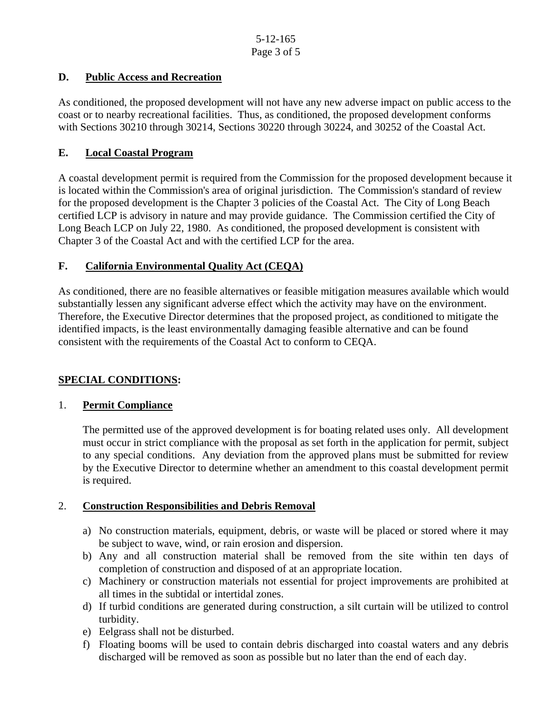# **D. Public Access and Recreation**

As conditioned, the proposed development will not have any new adverse impact on public access to the coast or to nearby recreational facilities. Thus, as conditioned, the proposed development conforms with Sections 30210 through 30214, Sections 30220 through 30224, and 30252 of the Coastal Act.

# **E. Local Coastal Program**

A coastal development permit is required from the Commission for the proposed development because it is located within the Commission's area of original jurisdiction. The Commission's standard of review for the proposed development is the Chapter 3 policies of the Coastal Act. The City of Long Beach certified LCP is advisory in nature and may provide guidance. The Commission certified the City of Long Beach LCP on July 22, 1980. As conditioned, the proposed development is consistent with Chapter 3 of the Coastal Act and with the certified LCP for the area.

# **F. California Environmental Quality Act (CEQA)**

As conditioned, there are no feasible alternatives or feasible mitigation measures available which would substantially lessen any significant adverse effect which the activity may have on the environment. Therefore, the Executive Director determines that the proposed project, as conditioned to mitigate the identified impacts, is the least environmentally damaging feasible alternative and can be found consistent with the requirements of the Coastal Act to conform to CEQA.

# **SPECIAL CONDITIONS:**

#### 1. **Permit Compliance**

 The permitted use of the approved development is for boating related uses only. All development must occur in strict compliance with the proposal as set forth in the application for permit, subject to any special conditions. Any deviation from the approved plans must be submitted for review by the Executive Director to determine whether an amendment to this coastal development permit is required.

#### 2. **Construction Responsibilities and Debris Removal**

- a) No construction materials, equipment, debris, or waste will be placed or stored where it may be subject to wave, wind, or rain erosion and dispersion.
- b) Any and all construction material shall be removed from the site within ten days of completion of construction and disposed of at an appropriate location.
- c) Machinery or construction materials not essential for project improvements are prohibited at all times in the subtidal or intertidal zones.
- d) If turbid conditions are generated during construction, a silt curtain will be utilized to control turbidity.
- e) Eelgrass shall not be disturbed.
- f) Floating booms will be used to contain debris discharged into coastal waters and any debris discharged will be removed as soon as possible but no later than the end of each day.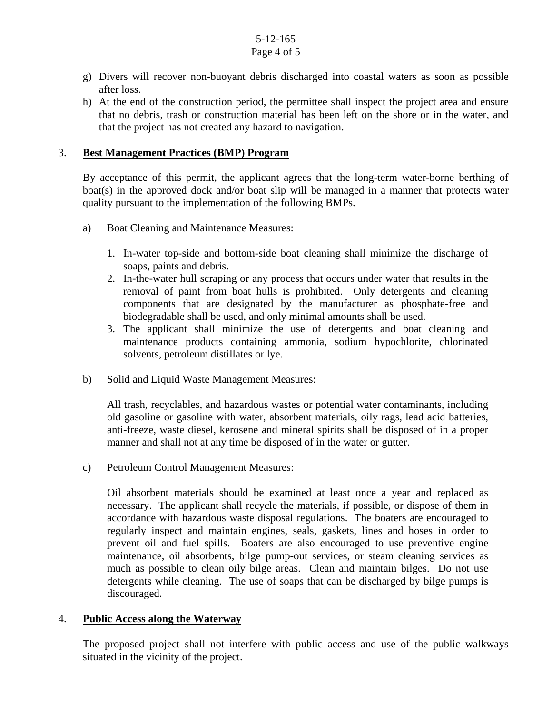#### 5-12-165 Page 4 of 5

- g) Divers will recover non-buoyant debris discharged into coastal waters as soon as possible after loss.
- h) At the end of the construction period, the permittee shall inspect the project area and ensure that no debris, trash or construction material has been left on the shore or in the water, and that the project has not created any hazard to navigation.

#### 3. **Best Management Practices (BMP) Program**

By acceptance of this permit, the applicant agrees that the long-term water-borne berthing of boat(s) in the approved dock and/or boat slip will be managed in a manner that protects water quality pursuant to the implementation of the following BMPs.

- a) Boat Cleaning and Maintenance Measures:
	- 1. In-water top-side and bottom-side boat cleaning shall minimize the discharge of soaps, paints and debris.
	- 2. In-the-water hull scraping or any process that occurs under water that results in the removal of paint from boat hulls is prohibited. Only detergents and cleaning components that are designated by the manufacturer as phosphate-free and biodegradable shall be used, and only minimal amounts shall be used.
	- 3. The applicant shall minimize the use of detergents and boat cleaning and maintenance products containing ammonia, sodium hypochlorite, chlorinated solvents, petroleum distillates or lye.
- b) Solid and Liquid Waste Management Measures:

All trash, recyclables, and hazardous wastes or potential water contaminants, including old gasoline or gasoline with water, absorbent materials, oily rags, lead acid batteries, anti-freeze, waste diesel, kerosene and mineral spirits shall be disposed of in a proper manner and shall not at any time be disposed of in the water or gutter.

c) Petroleum Control Management Measures:

Oil absorbent materials should be examined at least once a year and replaced as necessary. The applicant shall recycle the materials, if possible, or dispose of them in accordance with hazardous waste disposal regulations. The boaters are encouraged to regularly inspect and maintain engines, seals, gaskets, lines and hoses in order to prevent oil and fuel spills. Boaters are also encouraged to use preventive engine maintenance, oil absorbents, bilge pump-out services, or steam cleaning services as much as possible to clean oily bilge areas. Clean and maintain bilges. Do not use detergents while cleaning. The use of soaps that can be discharged by bilge pumps is discouraged.

#### 4. **Public Access along the Waterway**

The proposed project shall not interfere with public access and use of the public walkways situated in the vicinity of the project.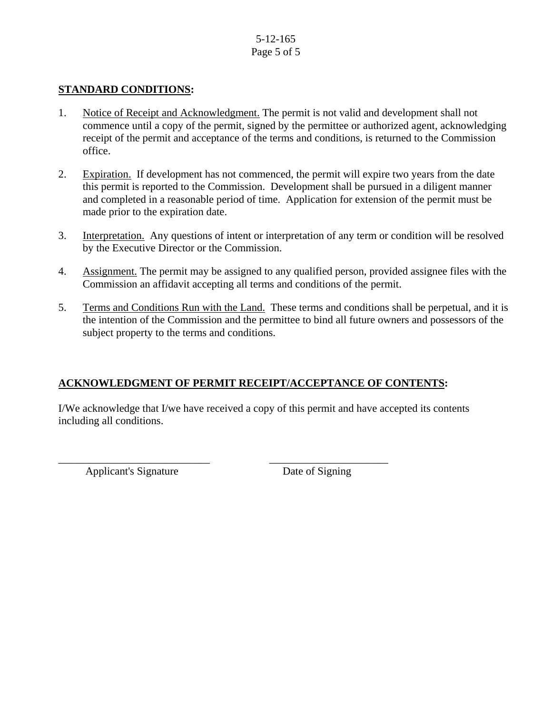# 5-12-165 Page 5 of 5

#### **STANDARD CONDITIONS:**

- 1. Notice of Receipt and Acknowledgment. The permit is not valid and development shall not commence until a copy of the permit, signed by the permittee or authorized agent, acknowledging receipt of the permit and acceptance of the terms and conditions, is returned to the Commission office.
- 2. Expiration. If development has not commenced, the permit will expire two years from the date this permit is reported to the Commission. Development shall be pursued in a diligent manner and completed in a reasonable period of time. Application for extension of the permit must be made prior to the expiration date.
- 3. Interpretation. Any questions of intent or interpretation of any term or condition will be resolved by the Executive Director or the Commission.
- 4. Assignment. The permit may be assigned to any qualified person, provided assignee files with the Commission an affidavit accepting all terms and conditions of the permit.
- 5. Terms and Conditions Run with the Land. These terms and conditions shall be perpetual, and it is the intention of the Commission and the permittee to bind all future owners and possessors of the subject property to the terms and conditions.

#### **ACKNOWLEDGMENT OF PERMIT RECEIPT/ACCEPTANCE OF CONTENTS:**

\_\_\_\_\_\_\_\_\_\_\_\_\_\_\_\_\_\_\_\_\_\_\_\_\_\_\_\_ \_\_\_\_\_\_\_\_\_\_\_\_\_\_\_\_\_\_\_\_\_\_

I/We acknowledge that I/we have received a copy of this permit and have accepted its contents including all conditions.

Applicant's Signature Date of Signing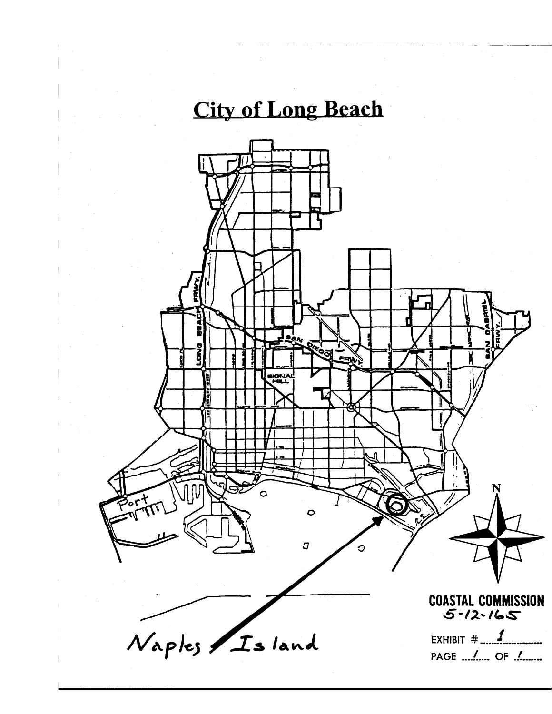# **City of Long Beach**

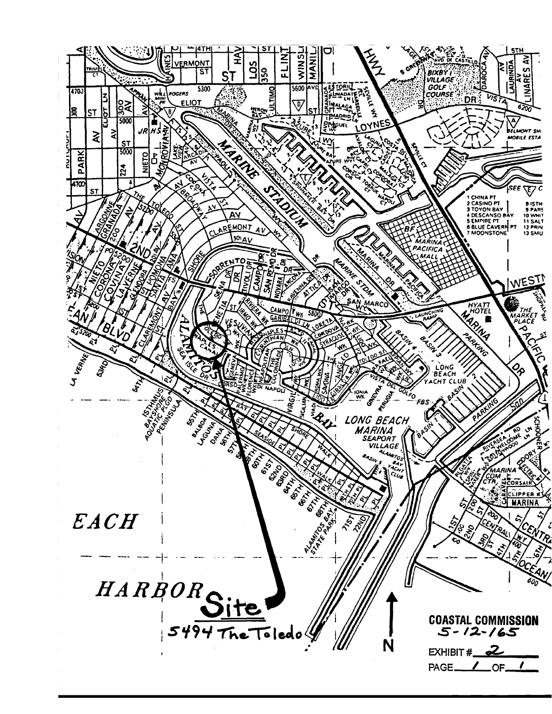